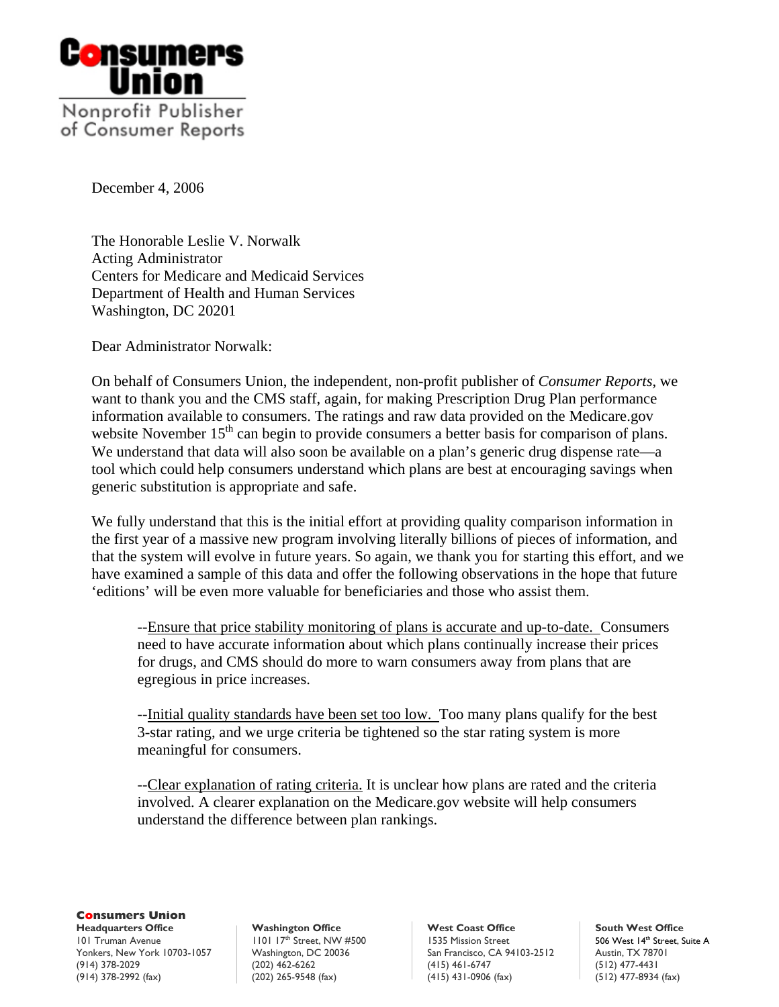

of Consumer Reports

December 4, 2006

The Honorable Leslie V. Norwalk Acting Administrator Centers for Medicare and Medicaid Services Department of Health and Human Services Washington, DC 20201

Dear Administrator Norwalk:

On behalf of Consumers Union, the independent, non-profit publisher of *Consumer Reports*, we want to thank you and the CMS staff, again, for making Prescription Drug Plan performance information available to consumers. The ratings and raw data provided on the Medicare.gov website November  $15<sup>th</sup>$  can begin to provide consumers a better basis for comparison of plans. We understand that data will also soon be available on a plan's generic drug dispense rate—a tool which could help consumers understand which plans are best at encouraging savings when generic substitution is appropriate and safe.

We fully understand that this is the initial effort at providing quality comparison information in the first year of a massive new program involving literally billions of pieces of information, and that the system will evolve in future years. So again, we thank you for starting this effort, and we have examined a sample of this data and offer the following observations in the hope that future 'editions' will be even more valuable for beneficiaries and those who assist them.

 --Ensure that price stability monitoring of plans is accurate and up-to-date. Consumers need to have accurate information about which plans continually increase their prices for drugs, and CMS should do more to warn consumers away from plans that are egregious in price increases.

 --Initial quality standards have been set too low. Too many plans qualify for the best 3-star rating, and we urge criteria be tightened so the star rating system is more meaningful for consumers.

 --Clear explanation of rating criteria. It is unclear how plans are rated and the criteria involved. A clearer explanation on the Medicare.gov website will help consumers understand the difference between plan rankings.

**Consumers Union** 

101 Truman Avenue 1101 17th Street, NW #500 1535 Mission Street 506 West 14th Street, Suite A Yonkers, New York 10703-1057 Washington, DC 20036 San Francisco, CA 94103-2512 Austin, TX 78701<br>(914) 378-2029 (12) 477-4431 (415) 461-6747 (512) 477-4431 (914) 378-2992 (fax) (202) 265-9548 (fax) (415) 431-0906 (fax) (512) 477-8934 (fax)

**Headquarters Office Washington Office West Coast Office South West Office**  (202) 462-6262 (315) 378-2020 (415) 461-6747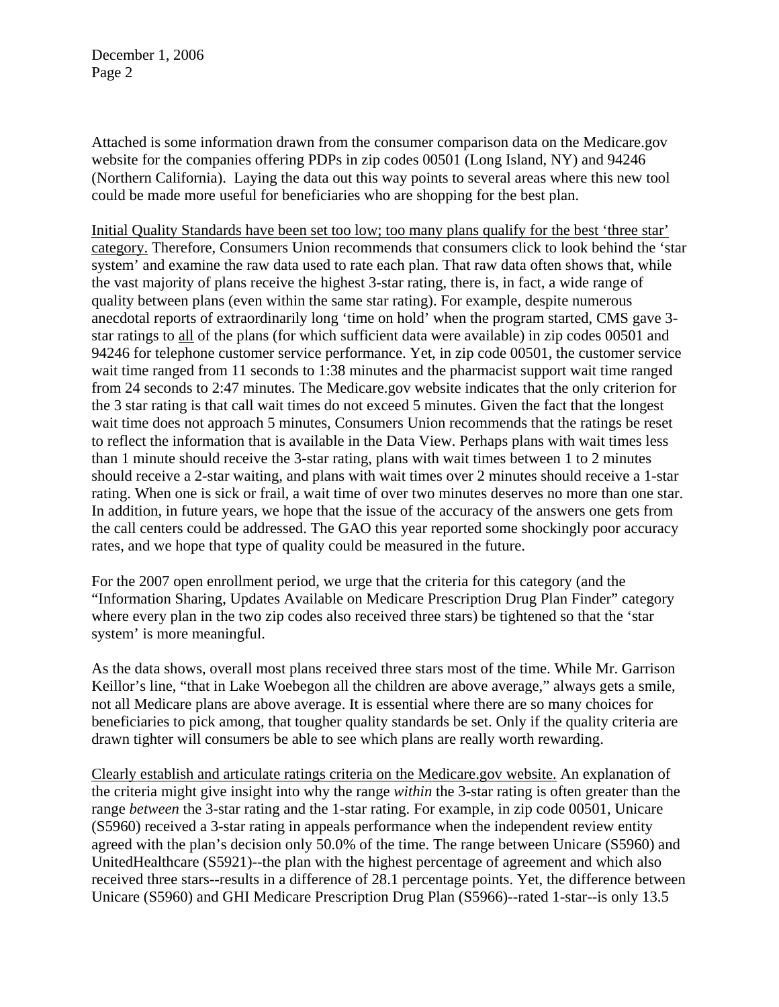Attached is some information drawn from the consumer comparison data on the Medicare.gov website for the companies offering PDPs in zip codes 00501 (Long Island, NY) and 94246 (Northern California). Laying the data out this way points to several areas where this new tool could be made more useful for beneficiaries who are shopping for the best plan.

Initial Quality Standards have been set too low; too many plans qualify for the best 'three star' category. Therefore, Consumers Union recommends that consumers click to look behind the 'star system' and examine the raw data used to rate each plan. That raw data often shows that, while the vast majority of plans receive the highest 3-star rating, there is, in fact, a wide range of quality between plans (even within the same star rating). For example, despite numerous anecdotal reports of extraordinarily long 'time on hold' when the program started, CMS gave 3 star ratings to all of the plans (for which sufficient data were available) in zip codes 00501 and 94246 for telephone customer service performance. Yet, in zip code 00501, the customer service wait time ranged from 11 seconds to 1:38 minutes and the pharmacist support wait time ranged from 24 seconds to 2:47 minutes. The Medicare.gov website indicates that the only criterion for the 3 star rating is that call wait times do not exceed 5 minutes. Given the fact that the longest wait time does not approach 5 minutes, Consumers Union recommends that the ratings be reset to reflect the information that is available in the Data View. Perhaps plans with wait times less than 1 minute should receive the 3-star rating, plans with wait times between 1 to 2 minutes should receive a 2-star waiting, and plans with wait times over 2 minutes should receive a 1-star rating. When one is sick or frail, a wait time of over two minutes deserves no more than one star. In addition, in future years, we hope that the issue of the accuracy of the answers one gets from the call centers could be addressed. The GAO this year reported some shockingly poor accuracy rates, and we hope that type of quality could be measured in the future.

For the 2007 open enrollment period, we urge that the criteria for this category (and the "Information Sharing, Updates Available on Medicare Prescription Drug Plan Finder" category where every plan in the two zip codes also received three stars) be tightened so that the 'star system' is more meaningful.

As the data shows, overall most plans received three stars most of the time. While Mr. Garrison Keillor's line, "that in Lake Woebegon all the children are above average," always gets a smile, not all Medicare plans are above average. It is essential where there are so many choices for beneficiaries to pick among, that tougher quality standards be set. Only if the quality criteria are drawn tighter will consumers be able to see which plans are really worth rewarding.

Clearly establish and articulate ratings criteria on the Medicare.gov website. An explanation of the criteria might give insight into why the range *within* the 3-star rating is often greater than the range *between* the 3-star rating and the 1-star rating. For example, in zip code 00501, Unicare (S5960) received a 3-star rating in appeals performance when the independent review entity agreed with the plan's decision only 50.0% of the time. The range between Unicare (S5960) and UnitedHealthcare (S5921)--the plan with the highest percentage of agreement and which also received three stars--results in a difference of 28.1 percentage points. Yet, the difference between Unicare (S5960) and GHI Medicare Prescription Drug Plan (S5966)--rated 1-star--is only 13.5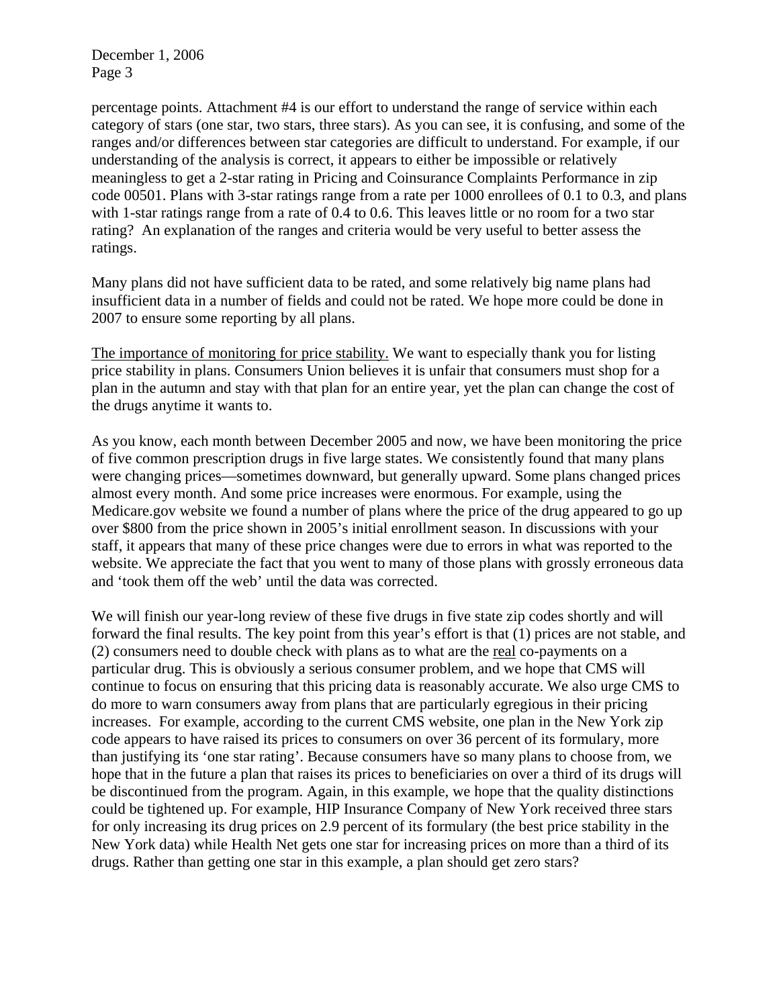percentage points. Attachment #4 is our effort to understand the range of service within each category of stars (one star, two stars, three stars). As you can see, it is confusing, and some of the ranges and/or differences between star categories are difficult to understand. For example, if our understanding of the analysis is correct, it appears to either be impossible or relatively meaningless to get a 2-star rating in Pricing and Coinsurance Complaints Performance in zip code 00501. Plans with 3-star ratings range from a rate per 1000 enrollees of 0.1 to 0.3, and plans with 1-star ratings range from a rate of 0.4 to 0.6. This leaves little or no room for a two star rating? An explanation of the ranges and criteria would be very useful to better assess the ratings.

Many plans did not have sufficient data to be rated, and some relatively big name plans had insufficient data in a number of fields and could not be rated. We hope more could be done in 2007 to ensure some reporting by all plans.

The importance of monitoring for price stability. We want to especially thank you for listing price stability in plans. Consumers Union believes it is unfair that consumers must shop for a plan in the autumn and stay with that plan for an entire year, yet the plan can change the cost of the drugs anytime it wants to.

As you know, each month between December 2005 and now, we have been monitoring the price of five common prescription drugs in five large states. We consistently found that many plans were changing prices—sometimes downward, but generally upward. Some plans changed prices almost every month. And some price increases were enormous. For example, using the Medicare.gov website we found a number of plans where the price of the drug appeared to go up over \$800 from the price shown in 2005's initial enrollment season. In discussions with your staff, it appears that many of these price changes were due to errors in what was reported to the website. We appreciate the fact that you went to many of those plans with grossly erroneous data and 'took them off the web' until the data was corrected.

We will finish our year-long review of these five drugs in five state zip codes shortly and will forward the final results. The key point from this year's effort is that (1) prices are not stable, and (2) consumers need to double check with plans as to what are the real co-payments on a particular drug. This is obviously a serious consumer problem, and we hope that CMS will continue to focus on ensuring that this pricing data is reasonably accurate. We also urge CMS to do more to warn consumers away from plans that are particularly egregious in their pricing increases. For example, according to the current CMS website, one plan in the New York zip code appears to have raised its prices to consumers on over 36 percent of its formulary, more than justifying its 'one star rating'. Because consumers have so many plans to choose from, we hope that in the future a plan that raises its prices to beneficiaries on over a third of its drugs will be discontinued from the program. Again, in this example, we hope that the quality distinctions could be tightened up. For example, HIP Insurance Company of New York received three stars for only increasing its drug prices on 2.9 percent of its formulary (the best price stability in the New York data) while Health Net gets one star for increasing prices on more than a third of its drugs. Rather than getting one star in this example, a plan should get zero stars?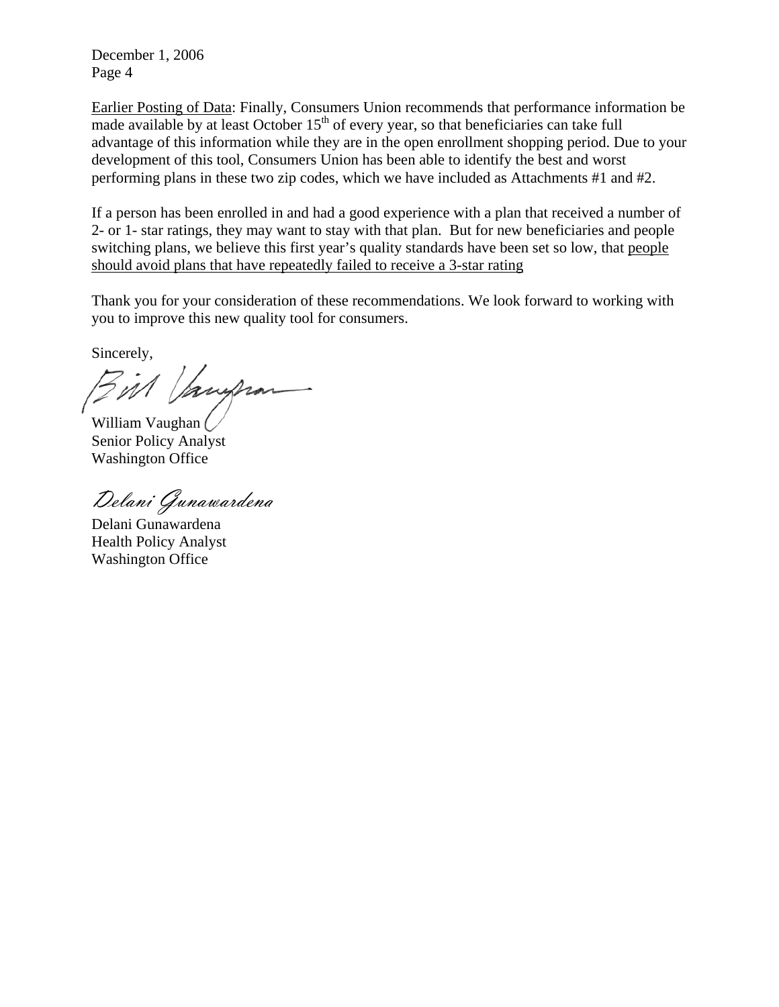Earlier Posting of Data: Finally, Consumers Union recommends that performance information be made available by at least October  $15<sup>th</sup>$  of every year, so that beneficiaries can take full advantage of this information while they are in the open enrollment shopping period. Due to your development of this tool, Consumers Union has been able to identify the best and worst performing plans in these two zip codes, which we have included as Attachments #1 and #2.

If a person has been enrolled in and had a good experience with a plan that received a number of 2- or 1- star ratings, they may want to stay with that plan. But for new beneficiaries and people switching plans, we believe this first year's quality standards have been set so low, that people should avoid plans that have repeatedly failed to receive a 3-star rating

Thank you for your consideration of these recommendations. We look forward to working with you to improve this new quality tool for consumers.

Sincerely,

M Janghan

William Vaughan Senior Policy Analyst Washington Office

Delani Gunawardena

Delani Gunawardena Health Policy Analyst Washington Office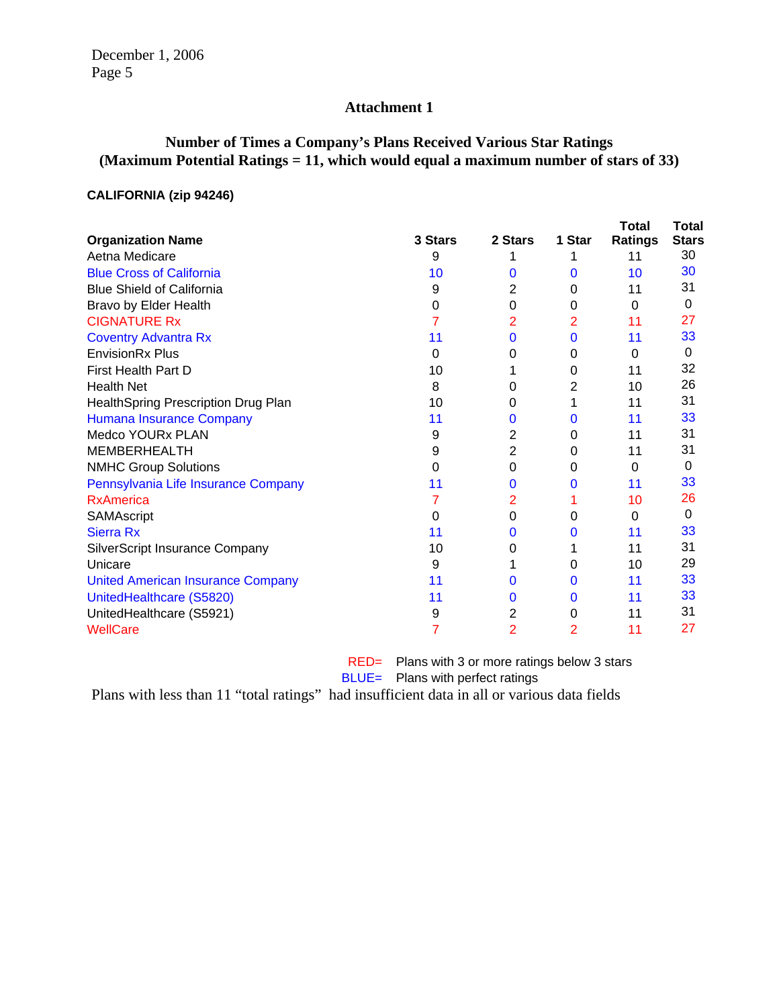# **Attachment 1**

# **Number of Times a Company's Plans Received Various Star Ratings (Maximum Potential Ratings = 11, which would equal a maximum number of stars of 33)**

### **CALIFORNIA (zip 94246)**

|                                          |         |              |              | Total   | Total        |
|------------------------------------------|---------|--------------|--------------|---------|--------------|
| <b>Organization Name</b>                 | 3 Stars | 2 Stars      | 1 Star       | Ratings | <b>Stars</b> |
| Aetna Medicare                           | 9       |              |              | 11      | 30           |
| <b>Blue Cross of California</b>          | 10      | 0            | 0            | 10      | 30           |
| <b>Blue Shield of California</b>         | 9       | 2            | 0            | 11      | 31           |
| Bravo by Elder Health                    | 0       | 0            | $\Omega$     | 0       | 0            |
| <b>CIGNATURE Rx</b>                      |         | 2            | 2            | 11      | 27           |
| <b>Coventry Advantra Rx</b>              | 11      | $\mathbf{0}$ | $\mathbf{0}$ | 11      | 33           |
| <b>EnvisionRx Plus</b>                   | 0       | 0            | 0            | 0       | 0            |
| <b>First Health Part D</b>               | 10      |              | 0            | 11      | 32           |
| <b>Health Net</b>                        | 8       | 0            | 2            | 10      | 26           |
| Health Spring Prescription Drug Plan     | 10      | 0            |              | 11      | 31           |
| <b>Humana Insurance Company</b>          | 11      | 0            | 0            | 11      | 33           |
| Medco YOURx PLAN                         | 9       | 2            | 0            | 11      | 31           |
| <b>MEMBERHEALTH</b>                      | 9       | 2            | $\Omega$     | 11      | 31           |
| <b>NMHC Group Solutions</b>              | 0       | 0            | 0            | 0       | 0            |
| Pennsylvania Life Insurance Company      | 11      | 0            | 0            | 11      | 33           |
| <b>RxAmerica</b>                         |         | 2            |              | 10      | 26           |
| SAMAscript                               | 0       | 0            | 0            | 0       | 0            |
| <b>Sierra Rx</b>                         | 11      | 0            | 0            | 11      | 33           |
| SilverScript Insurance Company           | 10      | 0            |              | 11      | 31           |
| Unicare                                  | 9       |              | 0            | 10      | 29           |
| <b>United American Insurance Company</b> | 11      | 0            | 0            | 11      | 33           |
| UnitedHealthcare (S5820)                 | 11      | 0            | 0            | 11      | 33           |
| UnitedHealthcare (S5921)                 | 9       | 2            | 0            | 11      | 31           |
| <b>WellCare</b>                          |         | 2            | 2            | 11      | 27           |

RED= Plans with 3 or more ratings below 3 stars BLUE= Plans with perfect ratings

Plans with less than 11 "total ratings" had insufficient data in all or various data fields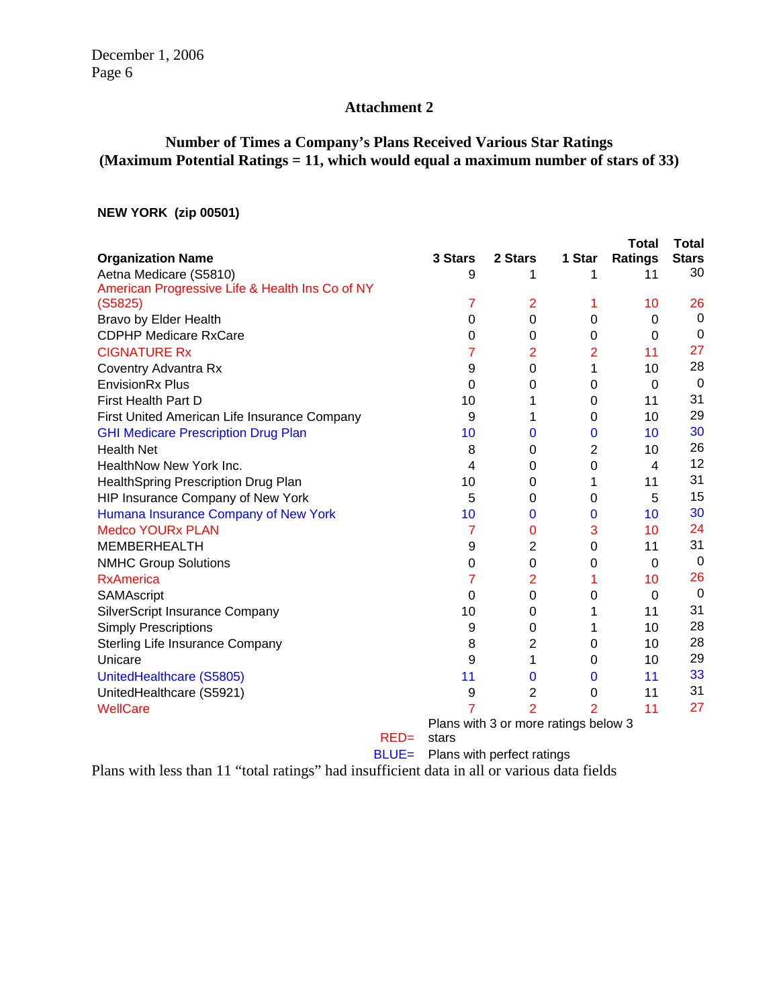# **Attachment 2**

# **Number of Times a Company's Plans Received Various Star Ratings (Maximum Potential Ratings = 11, which would equal a maximum number of stars of 33)**

### **NEW YORK (zip 00501)**

|                                                 |        |          |                                      |                | <b>Total</b>   | <b>Total</b> |
|-------------------------------------------------|--------|----------|--------------------------------------|----------------|----------------|--------------|
| <b>Organization Name</b>                        |        | 3 Stars  | 2 Stars                              | 1 Star         | <b>Ratings</b> | <b>Stars</b> |
| Aetna Medicare (S5810)                          |        | 9        | 1                                    | 1              | 11             | 30           |
| American Progressive Life & Health Ins Co of NY |        |          |                                      |                |                |              |
| (S5825)                                         |        | 7        | $\overline{2}$                       | 1              | 10             | 26           |
| Bravo by Elder Health                           |        | 0        | $\Omega$                             | $\Omega$       | $\Omega$       | 0            |
| <b>CDPHP Medicare RxCare</b>                    |        | 0        | 0                                    | $\Omega$       | 0              | $\Omega$     |
| <b>CIGNATURE Rx</b>                             |        | 7        | $\overline{2}$                       | $\overline{2}$ | 11             | 27           |
| Coventry Advantra Rx                            |        | 9        | 0                                    | 1              | 10             | 28           |
| <b>EnvisionRx Plus</b>                          |        | 0        | 0                                    | 0              | 0              | $\Omega$     |
| First Health Part D                             |        | 10       | 1                                    | 0              | 11             | 31           |
| First United American Life Insurance Company    |        | 9        | 1                                    | $\Omega$       | 10             | 29           |
| <b>GHI Medicare Prescription Drug Plan</b>      |        | 10       | 0                                    | $\bf{0}$       | 10             | 30           |
| <b>Health Net</b>                               |        | 8        | 0                                    | $\overline{2}$ | 10             | 26           |
| HealthNow New York Inc.                         |        | 4        | 0                                    | $\Omega$       | $\overline{4}$ | 12           |
| HealthSpring Prescription Drug Plan             |        | 10       | 0                                    | 1              | 11             | 31           |
| HIP Insurance Company of New York               |        | 5        | 0                                    | $\Omega$       | 5              | 15           |
| Humana Insurance Company of New York            |        | 10       | $\bf{0}$                             | $\mathbf 0$    | 10             | 30           |
| <b>Medco YOURx PLAN</b>                         |        | 7        | 0                                    | 3              | 10             | 24           |
| <b>MEMBERHEALTH</b>                             |        | 9        | $\overline{2}$                       | $\Omega$       | 11             | 31           |
| <b>NMHC Group Solutions</b>                     |        | 0        | 0                                    | 0              | 0              | 0            |
| <b>RxAmerica</b>                                |        | 7        | $\overline{2}$                       | 1              | 10             | 26           |
| SAMAscript                                      |        | $\Omega$ | 0                                    | 0              | $\Omega$       | $\mathbf 0$  |
| <b>SilverScript Insurance Company</b>           |        | 10       | 0                                    | 1              | 11             | 31           |
| <b>Simply Prescriptions</b>                     |        | 9        | 0                                    | 1              | 10             | 28           |
| Sterling Life Insurance Company                 |        | 8        | 2                                    | 0              | 10             | 28           |
| Unicare                                         |        | 9        | 1                                    | $\Omega$       | 10             | 29           |
| UnitedHealthcare (S5805)                        |        | 11       | $\bf{0}$                             | 0              | 11             | 33           |
| UnitedHealthcare (S5921)                        |        | 9        | 2                                    | $\Omega$       | 11             | 31           |
| <b>WellCare</b>                                 |        |          | $\overline{2}$                       | 2              | 11             | 27           |
|                                                 |        |          | Plans with 3 or more ratings below 3 |                |                |              |
|                                                 | $RED=$ | stars    |                                      |                |                |              |

BLUE= Plans with perfect ratings

Plans with less than 11 "total ratings" had insufficient data in all or various data fields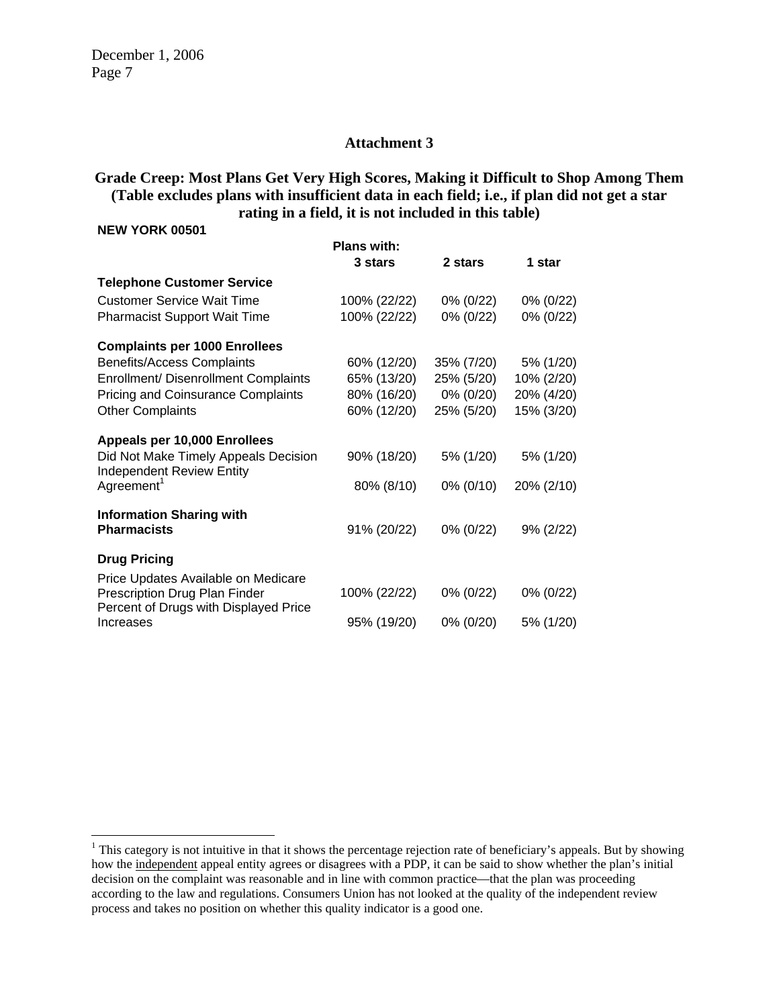#### **Attachment 3**

### **Grade Creep: Most Plans Get Very High Scores, Making it Difficult to Shop Among Them (Table excludes plans with insufficient data in each field; i.e., if plan did not get a star rating in a field, it is not included in this table)**

#### **NEW YORK 00501**

 $\overline{a}$ 

|                                                                          | <b>Plans with:</b> |            |              |  |
|--------------------------------------------------------------------------|--------------------|------------|--------------|--|
|                                                                          | 3 stars            | 2 stars    | 1 star       |  |
| <b>Telephone Customer Service</b>                                        |                    |            |              |  |
| <b>Customer Service Wait Time</b>                                        | 100% (22/22)       | 0% (0/22)  | 0% (0/22)    |  |
| <b>Pharmacist Support Wait Time</b>                                      | 100% (22/22)       | 0% (0/22)  | 0% (0/22)    |  |
| <b>Complaints per 1000 Enrollees</b>                                     |                    |            |              |  |
| <b>Benefits/Access Complaints</b>                                        | 60% (12/20)        | 35% (7/20) | 5% (1/20)    |  |
| <b>Enrollment/ Disenrollment Complaints</b>                              | 65% (13/20)        | 25% (5/20) | 10% (2/20)   |  |
| <b>Pricing and Coinsurance Complaints</b>                                | 80% (16/20)        | 0% (0/20)  | 20% (4/20)   |  |
| <b>Other Complaints</b>                                                  | 60% (12/20)        | 25% (5/20) | 15% (3/20)   |  |
| Appeals per 10,000 Enrollees                                             |                    |            |              |  |
| Did Not Make Timely Appeals Decision<br><b>Independent Review Entity</b> | 90% (18/20)        | 5% (1/20)  | 5% (1/20)    |  |
| Agreement <sup>1</sup>                                                   | 80% (8/10)         | 0% (0/10)  | 20% (2/10)   |  |
| <b>Information Sharing with</b>                                          |                    |            |              |  |
| <b>Pharmacists</b>                                                       | 91% (20/22)        | 0% (0/22)  | $9\% (2/22)$ |  |
| <b>Drug Pricing</b>                                                      |                    |            |              |  |
| Price Updates Available on Medicare                                      |                    |            |              |  |
| Prescription Drug Plan Finder<br>Percent of Drugs with Displayed Price   | 100% (22/22)       | 0% (0/22)  | 0% (0/22)    |  |
| Increases                                                                | 95% (19/20)        | 0% (0/20)  | 5% (1/20)    |  |

 $<sup>1</sup>$  This category is not intuitive in that it shows the percentage rejection rate of beneficiary's appeals. But by showing</sup> how the independent appeal entity agrees or disagrees with a PDP, it can be said to show whether the plan's initial decision on the complaint was reasonable and in line with common practice—that the plan was proceeding according to the law and regulations. Consumers Union has not looked at the quality of the independent review process and takes no position on whether this quality indicator is a good one.